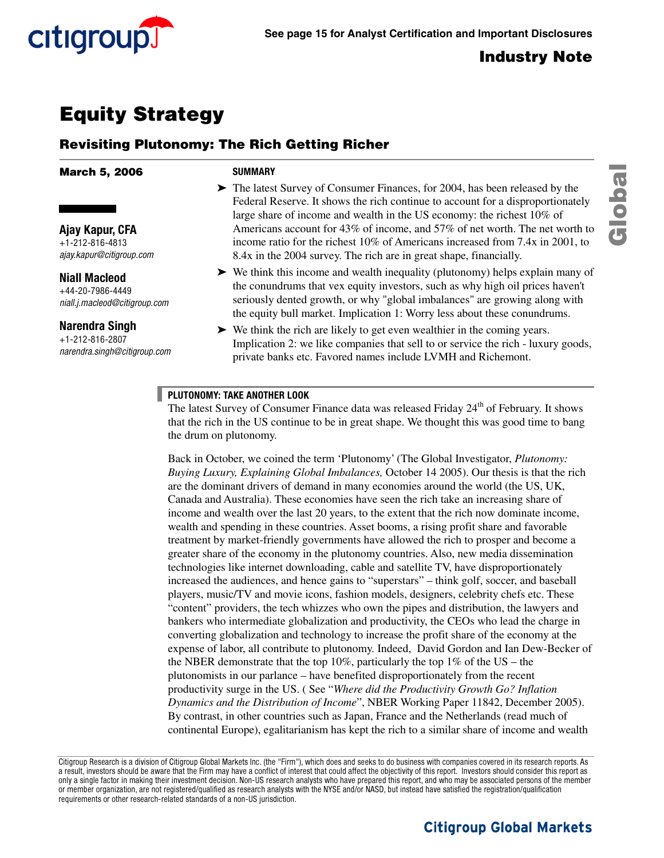

# **Equity Strategy**

# **Revisiting Plutonomy: The Rich Getting Richer**

#### **March 5, 2006**

SUMMARY

Ajay Kapur, CFA  $+1-212-816-4813$ ajay.kapur@citigroup.com

Niall Macleod

 $+44-20-7986-4449$ niall.j.macleod@citigroup.com

Narendra Singh  $+1-212-816-2807$ narendra.singh@citigroup.com

- ➤ The latest Survey of Consumer Finances, for 2004, has been released by the Federal Reserve. It shows the rich continue to account for a disproportionately large share of income and wealth in the US economy: the richest 10% of Americans account for 43% of income, and 57% of net worth. The net worth to income ratio for the richest 10% of Americans increased from 7.4x in 2001, to 8.4x in the 2004 survey. The rich are in great shape, financially.
- ➤ We think this income and wealth inequality (plutonomy) helps explain many of the conundrums that vex equity investors, such as why high oil prices haven't seriously dented growth, or why "global imbalances" are growing along with the equity bull market. Implication 1: Worry less about these conundrums.
- ➤ We think the rich are likely to get even wealthier in the coming years. Implication 2: we like companies that sell to or service the rich - luxury goods, private banks etc. Favored names include LVMH and Richemont.

### PLUTONOMY: TAKE ANOTHER LOOK

The latest Survey of Consumer Finance data was released Friday 24<sup>th</sup> of February. It shows that the rich in the US continue to be in great shape. We thought this was good time to bang the drum on plutonomy.

Back in October, we coined the term 'Plutonomy' (The Global Investigator, *Plutonomy: Buying Luxury, Explaining Global Imbalances,* October 14 2005). Our thesis is that the rich are the dominant drivers of demand in many economies around the world (the US, UK, Canada and Australia). These economies have seen the rich take an increasing share of income and wealth over the last 20 years, to the extent that the rich now dominate income, wealth and spending in these countries. Asset booms, a rising profit share and favorable treatment by market-friendly governments have allowed the rich to prosper and become a greater share of the economy in the plutonomy countries. Also, new media dissemination technologies like internet downloading, cable and satellite TV, have disproportionately increased the audiences, and hence gains to "superstars" – think golf, soccer, and baseball players, music/TV and movie icons, fashion models, designers, celebrity chefs etc. These "content" providers, the tech whizzes who own the pipes and distribution, the lawyers and bankers who intermediate globalization and productivity, the CEOs who lead the charge in converting globalization and technology to increase the profit share of the economy at the expense of labor, all contribute to plutonomy. Indeed, David Gordon and Ian Dew-Becker of the NBER demonstrate that the top 10%, particularly the top 1% of the US – the plutonomists in our parlance – have benefited disproportionately from the recent productivity surge in the US. ( See "*Where did the Productivity Growth Go? Inflation Dynamics and the Distribution of Income*", NBER Working Paper 11842, December 2005). By contrast, in other countries such as Japan, France and the Netherlands (read much of continental Europe), egalitarianism has kept the rich to a similar share of income and wealth

Citigroup Research is a division of Citigroup Global Markets Inc. (the "Firm"), which does and seeks to do business with companies covered in its research reports. As a result, investors should be aware that the Firm may have a conflict of interest that could affect the objectivity of this report. Investors should consider this report as only a single factor in making their investment decision. Non-US research analysts who have prepared this report, and who may be associated persons of the member or member organization, are not registered/qualified as research analysts with the NYSE and/or NASD, but instead have satisfied the registration/qualification requirements or other research-related standards of a non-US jurisdiction.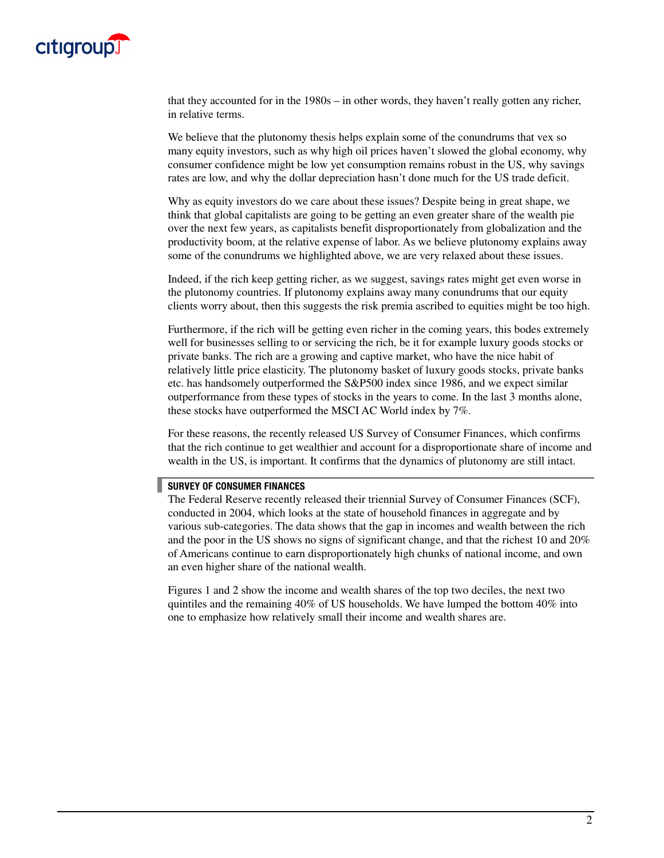

that they accounted for in the 1980s – in other words, they haven't really gotten any richer, in relative terms.

We believe that the plutonomy thesis helps explain some of the conundrums that vex so many equity investors, such as why high oil prices haven't slowed the global economy, why consumer confidence might be low yet consumption remains robust in the US, why savings rates are low, and why the dollar depreciation hasn't done much for the US trade deficit.

Why as equity investors do we care about these issues? Despite being in great shape, we think that global capitalists are going to be getting an even greater share of the wealth pie over the next few years, as capitalists benefit disproportionately from globalization and the productivity boom, at the relative expense of labor. As we believe plutonomy explains away some of the conundrums we highlighted above, we are very relaxed about these issues.

Indeed, if the rich keep getting richer, as we suggest, savings rates might get even worse in the plutonomy countries. If plutonomy explains away many conundrums that our equity clients worry about, then this suggests the risk premia ascribed to equities might be too high.

Furthermore, if the rich will be getting even richer in the coming years, this bodes extremely well for businesses selling to or servicing the rich, be it for example luxury goods stocks or private banks. The rich are a growing and captive market, who have the nice habit of relatively little price elasticity. The plutonomy basket of luxury goods stocks, private banks etc. has handsomely outperformed the S&P500 index since 1986, and we expect similar outperformance from these types of stocks in the years to come. In the last 3 months alone, these stocks have outperformed the MSCI AC World index by 7%.

For these reasons, the recently released US Survey of Consumer Finances, which confirms that the rich continue to get wealthier and account for a disproportionate share of income and wealth in the US, is important. It confirms that the dynamics of plutonomy are still intact.

#### SURVEY OF CONSUMER FINANCES

The Federal Reserve recently released their triennial Survey of Consumer Finances (SCF), conducted in 2004, which looks at the state of household finances in aggregate and by various sub-categories. The data shows that the gap in incomes and wealth between the rich and the poor in the US shows no signs of significant change, and that the richest 10 and 20% of Americans continue to earn disproportionately high chunks of national income, and own an even higher share of the national wealth.

Figures 1 and 2 show the income and wealth shares of the top two deciles, the next two quintiles and the remaining 40% of US households. We have lumped the bottom  $40\%$  into one to emphasize how relatively small their income and wealth shares are.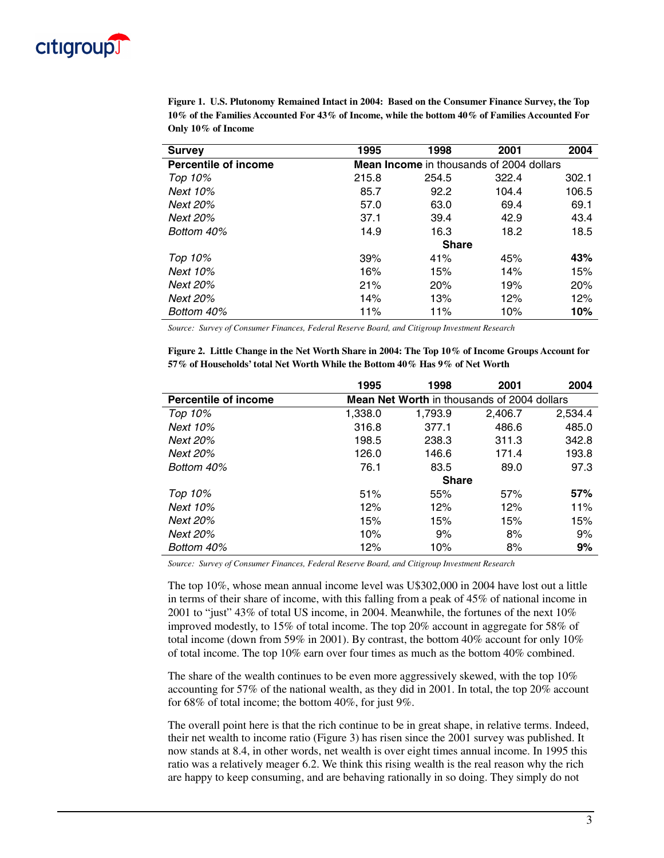

| <b>Survey</b>               | 1995                                            | 1998  | 2001  | 2004  |  |
|-----------------------------|-------------------------------------------------|-------|-------|-------|--|
| <b>Percentile of income</b> | <b>Mean Income</b> in thousands of 2004 dollars |       |       |       |  |
| Top 10%                     | 215.8                                           | 254.5 | 322.4 | 302.1 |  |
| <b>Next 10%</b>             | 85.7                                            | 92.2  | 104.4 | 106.5 |  |
| <b>Next 20%</b>             | 57.0                                            | 63.0  | 69.4  | 69.1  |  |
| <b>Next 20%</b>             | 37.1                                            | 39.4  | 42.9  | 43.4  |  |
| Bottom 40%                  | 14.9                                            | 16.3  | 18.2  | 18.5  |  |
|                             | <b>Share</b>                                    |       |       |       |  |
| Top 10%                     | 39%                                             | 41%   | 45%   | 43%   |  |
| Next 10%                    | 16%                                             | 15%   | 14%   | 15%   |  |
| <b>Next 20%</b>             | 21%                                             | 20%   | 19%   | 20%   |  |
| <b>Next 20%</b>             | 14%                                             | 13%   | 12%   | 12%   |  |
| Bottom 40%                  | 11%                                             | 11%   | 10%   | 10%   |  |

**Figure 1. U.S. Plutonomy Remained Intact in 2004: Based on the Consumer Finance Survey, the Top 10% of the Families Accounted For 43% of Income, while the bottom 40% of Families Accounted For Only 10% of Income**

*Source: Survey of Consumer Finances, Federal Reserve Board, and Citigroup Investment Research*

**Figure 2. Little Change in the Net Worth Share in 2004: The Top 10% of Income Groups Account for 57% of Households' total Net Worth While the Bottom 40% Has 9% of Net Worth**

|                             | 1995                                               | 1998         | 2001    | 2004    |  |
|-----------------------------|----------------------------------------------------|--------------|---------|---------|--|
| <b>Percentile of income</b> | <b>Mean Net Worth in thousands of 2004 dollars</b> |              |         |         |  |
| Top 10%                     | 1,338.0                                            | 1,793.9      | 2,406.7 | 2,534.4 |  |
| Next 10%                    | 316.8                                              | 377.1        | 486.6   | 485.0   |  |
| Next 20%                    | 198.5                                              | 238.3        | 311.3   | 342.8   |  |
| Next 20%                    | 126.0                                              | 146.6        | 171.4   | 193.8   |  |
| Bottom 40%                  | 76.1                                               | 83.5         | 89.0    | 97.3    |  |
|                             |                                                    | <b>Share</b> |         |         |  |
| Top 10%                     | 51%                                                | 55%          | 57%     | 57%     |  |
| Next 10%                    | 12%                                                | 12%          | 12%     | 11%     |  |
| Next 20%                    | 15%                                                | 15%          | 15%     | 15%     |  |
| Next 20%                    | 10%                                                | 9%           | 8%      | 9%      |  |
| Bottom 40%                  | 12%                                                | 10%          | 8%      | 9%      |  |

*Source: Survey of Consumer Finances, Federal Reserve Board, and Citigroup Investment Research*

The top 10%, whose mean annual income level was U\$302,000 in 2004 have lost out a little in terms of their share of income, with this falling from a peak of 45% of national income in 2001 to "just" 43% of total US income, in 2004. Meanwhile, the fortunes of the next  $10\%$ improved modestly, to 15% of total income. The top 20% account in aggregate for 58% of total income (down from 59% in 2001). By contrast, the bottom  $40\%$  account for only  $10\%$ of total income. The top 10% earn over four times as much as the bottom 40% combined.

The share of the wealth continues to be even more aggressively skewed, with the top 10% accounting for 57% of the national wealth, as they did in 2001. In total, the top 20% account for 68% of total income; the bottom 40%, for just 9%.

The overall point here is that the rich continue to be in great shape, in relative terms. Indeed, their net wealth to income ratio (Figure 3) has risen since the 2001 survey was published. It now stands at 8.4, in other words, net wealth is over eight times annual income. In 1995 this ratio was a relatively meager 6.2. We think this rising wealth is the real reason why the rich are happy to keep consuming, and are behaving rationally in so doing. They simply do not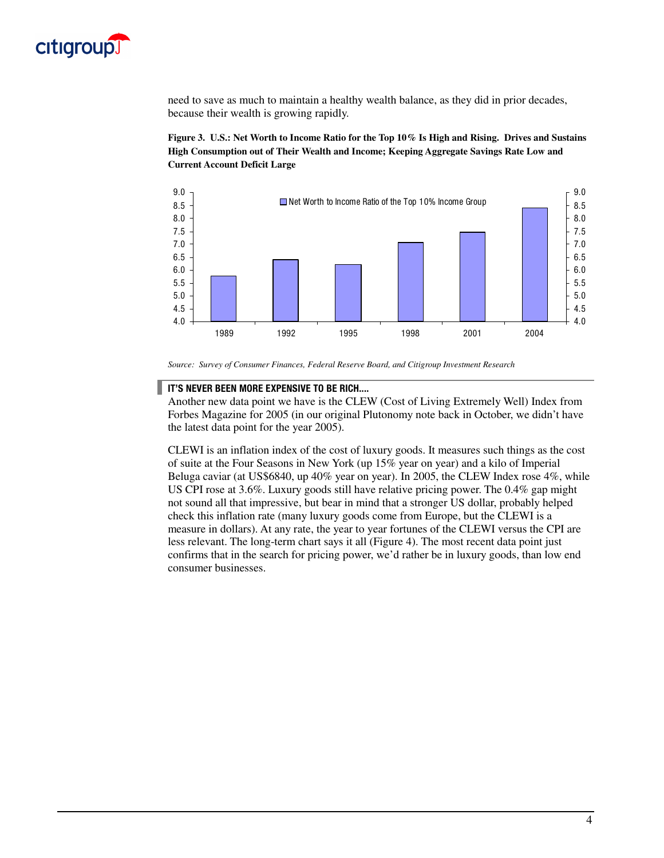

need to save as much to maintain a healthy wealth balance, as they did in prior decades, because their wealth is growing rapidly.

**Figure 3. U.S.: Net Worth to Income Ratio for the Top 10% Is High and Rising. Drives and Sustains High Consumption out of Their Wealth and Income; Keeping Aggregate Savings Rate Low and Current Account Deficit Large**



*Source: Survey of Consumer Finances, Federal Reserve Board, and Citigroup Investment Research*

#### IT'S NEVER BEEN MORE EXPENSIVE TO BE RICH....

п

Another new data point we have is the CLEW (Cost of Living Extremely Well) Index from Forbes Magazine for 2005 (in our original Plutonomy note back in October, we didn't have the latest data point for the year 2005).

CLEWI is an inflation index of the cost of luxury goods. It measures such things as the cost of suite at the Four Seasons in New York (up 15% year on year) and a kilo of Imperial Beluga caviar (at US\$6840, up 40% year on year). In 2005, the CLEW Index rose 4%, while US CPI rose at 3.6%. Luxury goods still have relative pricing power. The 0.4% gap might not sound all that impressive, but bear in mind that a stronger US dollar, probably helped check this inflation rate (many luxury goods come from Europe, but the CLEWI is a measure in dollars). At any rate, the year to year fortunes of the CLEWI versus the CPI are less relevant. The long-term chart says it all (Figure 4). The most recent data point just confirms that in the search for pricing power, we'd rather be in luxury goods, than low end consumer businesses.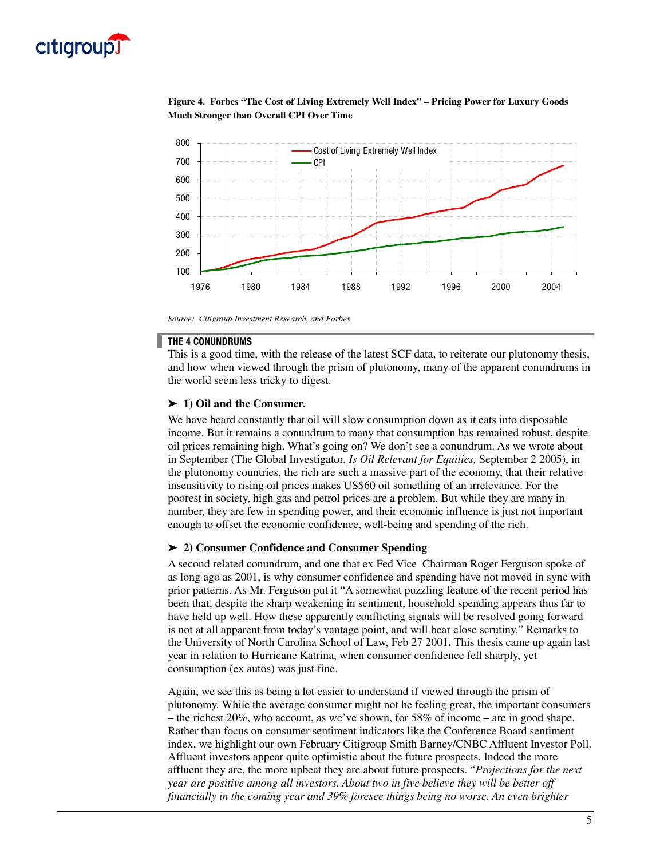

#### **Figure 4. Forbes "The Cost of Living Extremely Well Index" – Pricing Power for Luxury Goods Much Stronger than Overall CPI Over Time**



*Source: Citigroup Investment Research, and Forbes*

#### THE 4 CONUNDRUMS

This is a good time, with the release of the latest SCF data, to reiterate our plutonomy thesis, and how when viewed through the prism of plutonomy, many of the apparent conundrums in the world seem less tricky to digest.

#### ➤ **1) Oil and the Consumer.**

We have heard constantly that oil will slow consumption down as it eats into disposable income. But it remains a conundrum to many that consumption has remained robust, despite oil prices remaining high. What's going on? We don't see a conundrum. As we wrote about in September (The Global Investigator, *Is Oil Relevant for Equities,* September 2 2005), in the plutonomy countries, the rich are such a massive part of the economy, that their relative insensitivity to rising oil prices makes US\$60 oil something of an irrelevance. For the poorest in society, high gas and petrol prices are a problem. But while they are many in number, they are few in spending power, and their economic influence is just not important enough to offset the economic confidence, well-being and spending of the rich.

#### ➤ **2) Consumer Confidence and Consumer Spending**

A second related conundrum, and one that ex Fed Vice–Chairman Roger Ferguson spoke of as long ago as 2001, is why consumer confidence and spending have not moved in sync with prior patterns. As Mr. Ferguson put it "A somewhat puzzling feature of the recent period has been that, despite the sharp weakening in sentiment, household spending appears thus far to have held up well. How these apparently conflicting signals will be resolved going forward is not at all apparent from today's vantage point, and will bear close scrutiny." Remarks to the University of North Carolina School of Law, Feb 27 2001**.** This thesis came up again last year in relation to Hurricane Katrina, when consumer confidence fell sharply, yet consumption (ex autos) was just fine.

Again, we see this as being a lot easier to understand if viewed through the prism of plutonomy. While the average consumer might not be feeling great, the important consumers – the richest 20%, who account, as we've shown, for 58% of income – are in good shape. Rather than focus on consumer sentiment indicators like the Conference Board sentiment index, we highlight our own February Citigroup Smith Barney/CNBC Affluent Investor Poll. Affluent investors appear quite optimistic about the future prospects. Indeed the more affluent they are, the more upbeat they are about future prospects. "*Projections for the next year are positive among all investors. About two in five believe they will be better off financially in the coming year and 39% foresee things being no worse. An even brighter*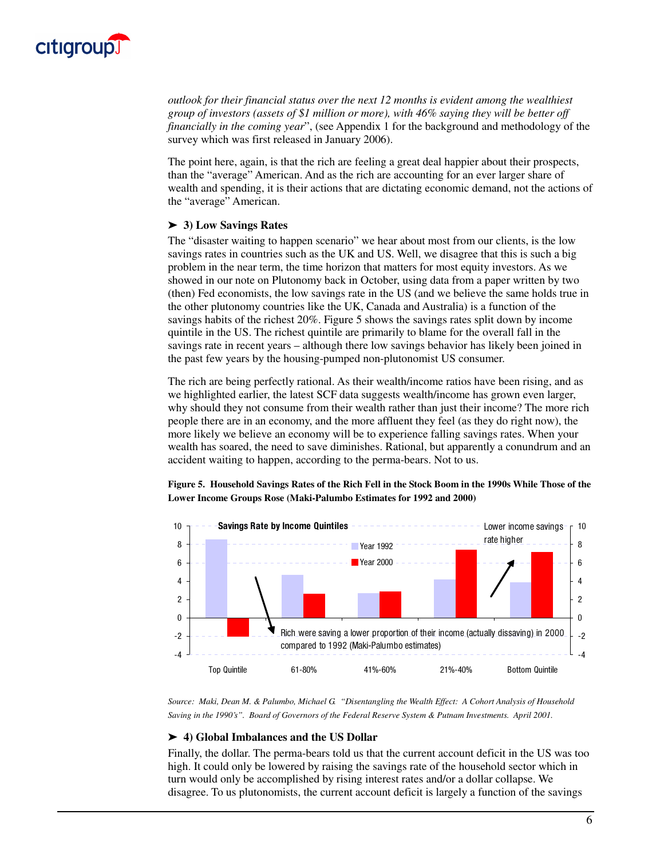

*outlook for their financial status over the next 12 months is evident among the wealthiest group of investors (assets of \$1 million or more), with 46% saying they will be better off financially in the coming year*", (see Appendix 1 for the background and methodology of the survey which was first released in January 2006).

The point here, again, is that the rich are feeling a great deal happier about their prospects, than the "average" American. And as the rich are accounting for an ever larger share of wealth and spending, it is their actions that are dictating economic demand, not the actions of the "average" American.

#### ➤ **3) Low Savings Rates**

The "disaster waiting to happen scenario" we hear about most from our clients, is the low savings rates in countries such as the UK and US. Well, we disagree that this is such a big problem in the near term, the time horizon that matters for most equity investors. As we showed in our note on Plutonomy back in October, using data from a paper written by two (then) Fed economists, the low savings rate in the US (and we believe the same holds true in the other plutonomy countries like the UK, Canada and Australia) is a function of the savings habits of the richest 20%. Figure 5 shows the savings rates split down by income quintile in the US. The richest quintile are primarily to blame for the overall fall in the savings rate in recent years – although there low savings behavior has likely been joined in the past few years by the housing-pumped non-plutonomist US consumer.

The rich are being perfectly rational. As their wealth/income ratios have been rising, and as we highlighted earlier, the latest SCF data suggests wealth/income has grown even larger, why should they not consume from their wealth rather than just their income? The more rich people there are in an economy, and the more affluent they feel (as they do right now), the more likely we believe an economy will be to experience falling savings rates. When your wealth has soared, the need to save diminishes. Rational, but apparently a conundrum and an accident waiting to happen, according to the perma-bears. Not to us.





*Source: Maki, Dean M. & Palumbo, Michael G. "Disentangling the Wealth Effect: A Cohort Analysis of Household Saving in the 1990's". Board of Governors of the Federal Reserve System & Putnam Investments. April 2001.*

#### ➤ **4) Global Imbalances and the US Dollar**

Finally, the dollar. The perma-bears told us that the current account deficit in the US was too high. It could only be lowered by raising the savings rate of the household sector which in turn would only be accomplished by rising interest rates and/or a dollar collapse. We disagree. To us plutonomists, the current account deficit is largely a function of the savings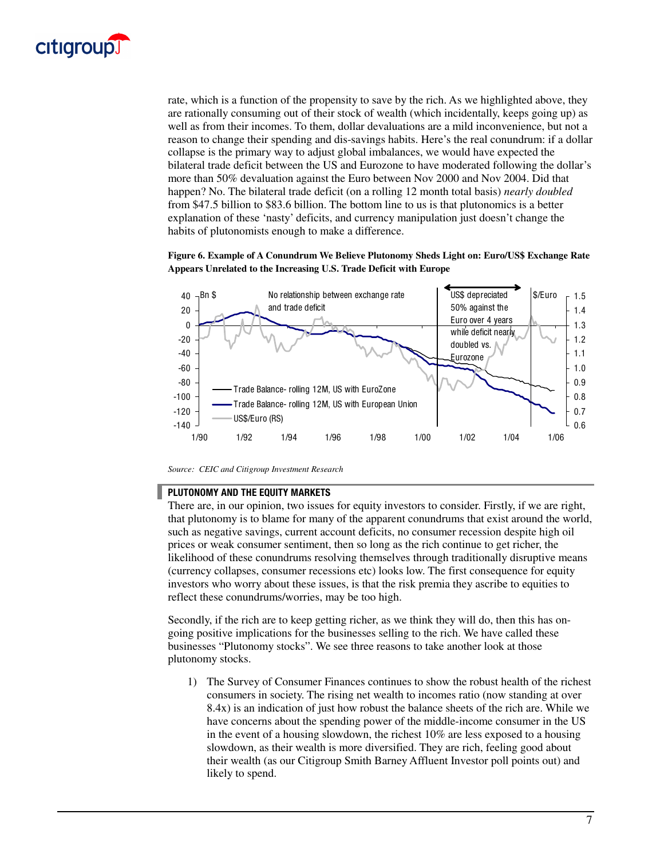

rate, which is a function of the propensity to save by the rich. As we highlighted above, they are rationally consuming out of their stock of wealth (which incidentally, keeps going up) as well as from their incomes. To them, dollar devaluations are a mild inconvenience, but not a reason to change their spending and dis-savings habits. Here's the real conundrum: if a dollar collapse is the primary way to adjust global imbalances, we would have expected the bilateral trade deficit between the US and Eurozone to have moderated following the dollar's more than 50% devaluation against the Euro between Nov 2000 and Nov 2004. Did that happen? No. The bilateral trade deficit (on a rolling 12 month total basis) *nearly doubled* from \$47.5 billion to \$83.6 billion. The bottom line to us is that plutonomics is a better explanation of these 'nasty' deficits, and currency manipulation just doesn't change the habits of plutonomists enough to make a difference.

**Figure 6. Example of A Conundrum We Believe Plutonomy Sheds Light on: Euro/US\$ Exchange Rate Appears Unrelated to the Increasing U.S. Trade Deficit with Europe**



*Source: CEIC and Citigroup Investment Research*

#### PLUTONOMY AND THE EQUITY MARKETS

There are, in our opinion, two issues for equity investors to consider. Firstly, if we are right, that plutonomy is to blame for many of the apparent conundrums that exist around the world, such as negative savings, current account deficits, no consumer recession despite high oil prices or weak consumer sentiment, then so long as the rich continue to get richer, the likelihood of these conundrums resolving themselves through traditionally disruptive means (currency collapses, consumer recessions etc) looks low. The first consequence for equity investors who worry about these issues, is that the risk premia they ascribe to equities to reflect these conundrums/worries, may be too high.

Secondly, if the rich are to keep getting richer, as we think they will do, then this has ongoing positive implications for the businesses selling to the rich. We have called these businesses "Plutonomy stocks". We see three reasons to take another look at those plutonomy stocks.

1) The Survey of Consumer Finances continues to show the robust health of the richest consumers in society. The rising net wealth to incomes ratio (now standing at over 8.4x) is an indication of just how robust the balance sheets of the rich are. While we have concerns about the spending power of the middle-income consumer in the US in the event of a housing slowdown, the richest 10% are less exposed to a housing slowdown, as their wealth is more diversified. They are rich, feeling good about their wealth (as our Citigroup Smith Barney Affluent Investor poll points out) and likely to spend.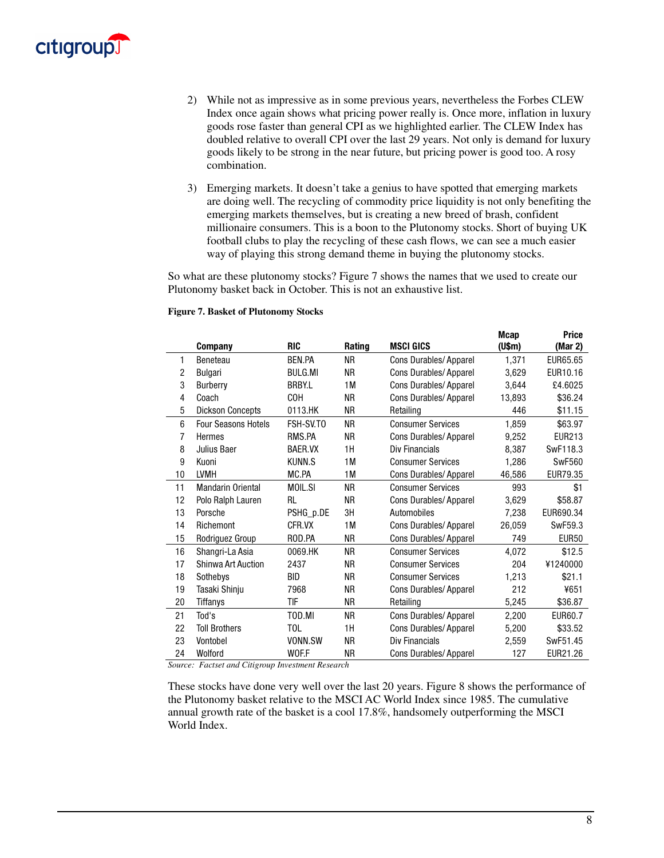

- 2) While not as impressive as in some previous years, nevertheless the Forbes CLEW Index once again shows what pricing power really is. Once more, inflation in luxury goods rose faster than general CPI as we highlighted earlier. The CLEW Index has doubled relative to overall CPI over the last 29 years. Not only is demand for luxury goods likely to be strong in the near future, but pricing power is good too. A rosy combination.
- 3) Emerging markets. It doesn't take a genius to have spotted that emerging markets are doing well. The recycling of commodity price liquidity is not only benefiting the emerging markets themselves, but is creating a new breed of brash, confident millionaire consumers. This is a boon to the Plutonomy stocks. Short of buying UK football clubs to play the recycling of these cash flows, we can see a much easier way of playing this strong demand theme in buying the plutonomy stocks.

 $\ddot{\phantom{a}}$ 

 $\sim$   $\sim$ 

So what are these plutonomy stocks? Figure 7 shows the names that we used to create our Plutonomy basket back in October. This is not an exhaustive list.

|    | Company                    | <b>RIC</b>      | Rating    | <b>MSCI GICS</b>             | Mcap<br>(U\$m) | Price<br>(Mar 2) |
|----|----------------------------|-----------------|-----------|------------------------------|----------------|------------------|
| 1  | Beneteau                   | BEN.PA          | NR.       | Cons Durables/Apparel        | 1,371          | EUR65.65         |
| 2  | Bulgari                    | <b>BULG.MI</b>  | ΝR        | Cons Durables/Apparel        | 3,629          | EUR10.16         |
| 3  | Burberry                   | <b>BRBY.L</b>   | 1M        | Cons Durables/Apparel        | 3,644          | £4.6025          |
| 4  | Coach                      | <b>COH</b>      | ΝR        | Cons Durables/Apparel        | 13,893         | \$36.24          |
| 5  | <b>Dickson Concepts</b>    | 0113.HK         | ΝR        | Retailing                    | 446            | \$11.15          |
| 6  | <b>Four Seasons Hotels</b> | FSH-SV.TO       | <b>NR</b> | <b>Consumer Services</b>     | 1,859          | \$63.97          |
| 7  | Hermes                     | RMS.PA          | ΝR        | <b>Cons Durables/Apparel</b> | 9,252          | EUR213           |
| 8  | Julius Baer                | <b>BAER.VX</b>  | 1H        | Div Financials               | 8,387          | SwF118.3         |
| 9  | Kuoni                      | KUNN.S          | 1M        | <b>Consumer Services</b>     | 1,286          | <b>SwF560</b>    |
| 10 | LVMH                       | MC.PA           | 1M        | Cons Durables/Apparel        | 46,586         | EUR79.35         |
| 11 | <b>Mandarin Oriental</b>   | MOIL.SI         | ΝR        | <b>Consumer Services</b>     | 993            | \$1              |
| 12 | Polo Ralph Lauren          | RL              | <b>NR</b> | Cons Durables/Apparel        | 3,629          | \$58.87          |
| 13 | Porsche                    | PSHG_p.DE       | ЗH        | Automobiles                  | 7,238          | EUR690.34        |
| 14 | Richemont                  | CFR.VX          | 1M        | Cons Durables/Apparel        | 26,059         | SwF59.3          |
| 15 | Rodriguez Group            | ROD.PA          | ΝR        | Cons Durables/Apparel        | 749            | <b>EUR50</b>     |
| 16 | Shangri-La Asia            | 0069.HK         | NR.       | <b>Consumer Services</b>     | 4,072          | \$12.5           |
| 17 | <b>Shinwa Art Auction</b>  | 2437            | ΝR        | <b>Consumer Services</b>     | 204            | ¥1240000         |
| 18 | Sothebys                   | BID             | <b>NR</b> | <b>Consumer Services</b>     | 1,213          | \$21.1           |
| 19 | Tasaki Shinju              | 7968            | <b>NR</b> | Cons Durables/Apparel        | 212            | ¥651             |
| 20 | Tiffanys                   | TIF             | NR.       | Retailing                    | 5,245          | \$36.87          |
| 21 | Tod's                      | TOD.MI          | <b>NR</b> | Cons Durables/Apparel        | 2,200          | EUR60.7          |
| 22 | <b>Toll Brothers</b>       | T <sub>OL</sub> | 1H        | Cons Durables/Apparel        | 5,200          | \$33.52          |
| 23 | Vontobel                   | <b>VONN.SW</b>  | ΝR        | Div Financials               | 2,559          | SwF51.45         |
| 24 | Wolford                    | WOF.F           | <b>NR</b> | Cons Durables/Apparel        | 127            | EUR21.26         |

#### **Figure 7. Basket of Plutonomy Stocks**

*Source: Factset and Citigroup Investment Research*

These stocks have done very well over the last 20 years. Figure 8 shows the performance of the Plutonomy basket relative to the MSCI AC World Index since 1985. The cumulative annual growth rate of the basket is a cool 17.8%, handsomely outperforming the MSCI World Index.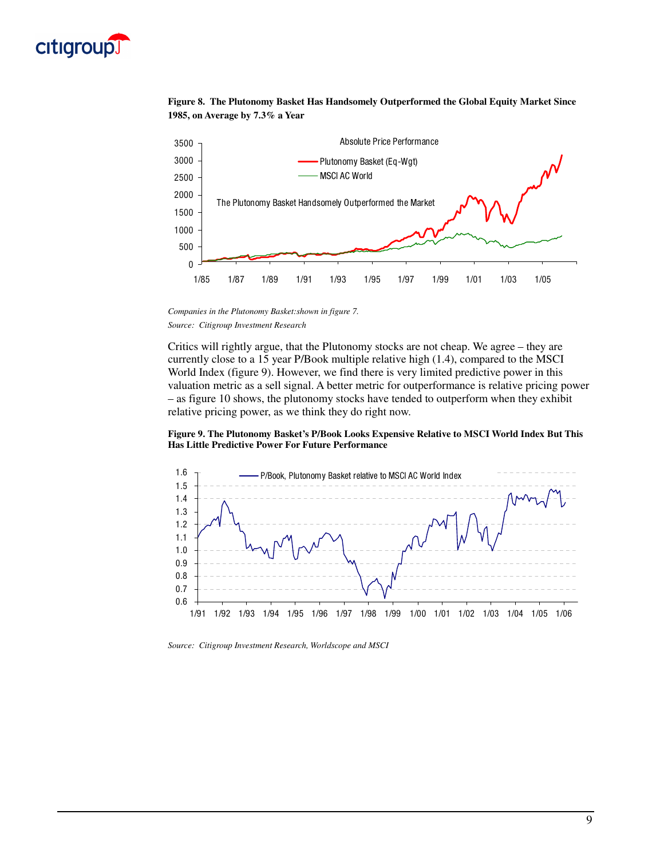

#### **Figure 8. The Plutonomy Basket Has Handsomely Outperformed the Global Equity Market Since 1985, on Average by 7.3% a Year**



*Companies in the Plutonomy Basket:shown in figure 7. Source: Citigroup Investment Research*

Critics will rightly argue, that the Plutonomy stocks are not cheap. We agree – they are currently close to a 15 year P/Book multiple relative high (1.4), compared to the MSCI World Index (figure 9). However, we find there is very limited predictive power in this valuation metric as a sell signal. A better metric for outperformance is relative pricing power – as figure 10 shows, the plutonomy stocks have tended to outperform when they exhibit relative pricing power, as we think they do right now.





*Source: Citigroup Investment Research, Worldscope and MSCI*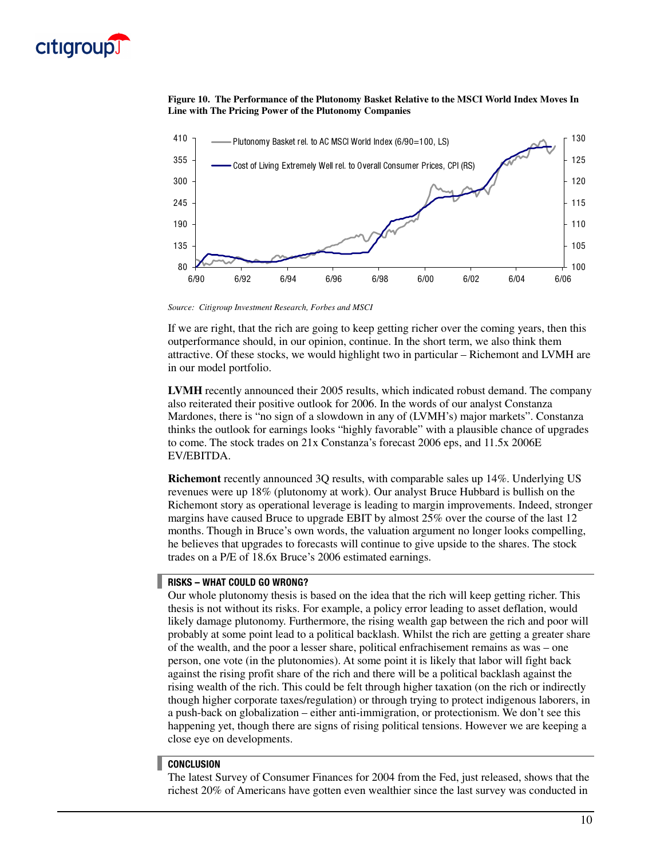

#### **Figure 10. The Performance of the Plutonomy Basket Relative to the MSCI World Index Moves In Line with The Pricing Power of the Plutonomy Companies**



*Source: Citigroup Investment Research, Forbes and MSCI*

If we are right, that the rich are going to keep getting richer over the coming years, then this outperformance should, in our opinion, continue. In the short term, we also think them attractive. Of these stocks, we would highlight two in particular – Richemont and LVMH are in our model portfolio.

**LVMH** recently announced their 2005 results, which indicated robust demand. The company also reiterated their positive outlook for 2006. In the words of our analyst Constanza Mardones, there is "no sign of a slowdown in any of (LVMH's) major markets". Constanza thinks the outlook for earnings looks "highly favorable" with a plausible chance of upgrades to come. The stock trades on 21x Constanza's forecast 2006 eps, and 11.5x 2006E EV/EBITDA.

**Richemont** recently announced 3Q results, with comparable sales up 14%. Underlying US revenues were up 18% (plutonomy at work). Our analyst Bruce Hubbard is bullish on the Richemont story as operational leverage is leading to margin improvements. Indeed, stronger margins have caused Bruce to upgrade EBIT by almost 25% over the course of the last 12 months. Though in Bruce's own words, the valuation argument no longer looks compelling, he believes that upgrades to forecasts will continue to give upside to the shares. The stock trades on a P/E of 18.6x Bruce's 2006 estimated earnings.

#### $RISKS - WHAT COULD GO WRONG?$

Our whole plutonomy thesis is based on the idea that the rich will keep getting richer. This thesis is not without its risks. For example, a policy error leading to asset deflation, would likely damage plutonomy. Furthermore, the rising wealth gap between the rich and poor will probably at some point lead to a political backlash. Whilst the rich are getting a greater share of the wealth, and the poor a lesser share, political enfrachisement remains as was – one person, one vote (in the plutonomies). At some point it is likely that labor will fight back against the rising profit share of the rich and there will be a political backlash against the rising wealth of the rich. This could be felt through higher taxation (on the rich or indirectly though higher corporate taxes/regulation) or through trying to protect indigenous laborers, in a push-back on globalization – either anti-immigration, or protectionism. We don't see this happening yet, though there are signs of rising political tensions. However we are keeping a close eye on developments.

#### **CONCLUSION**

The latest Survey of Consumer Finances for 2004 from the Fed, just released, shows that the richest 20% of Americans have gotten even wealthier since the last survey was conducted in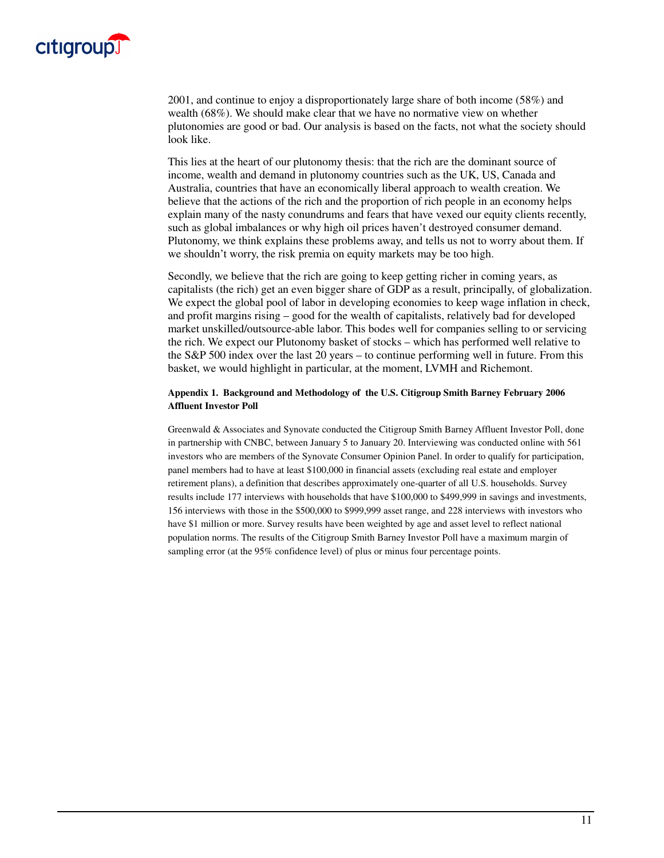

2001, and continue to enjoy a disproportionately large share of both income (58%) and wealth (68%). We should make clear that we have no normative view on whether plutonomies are good or bad. Our analysis is based on the facts, not what the society should look like.

This lies at the heart of our plutonomy thesis: that the rich are the dominant source of income, wealth and demand in plutonomy countries such as the UK, US, Canada and Australia, countries that have an economically liberal approach to wealth creation. We believe that the actions of the rich and the proportion of rich people in an economy helps explain many of the nasty conundrums and fears that have vexed our equity clients recently, such as global imbalances or why high oil prices haven't destroyed consumer demand. Plutonomy, we think explains these problems away, and tells us not to worry about them. If we shouldn't worry, the risk premia on equity markets may be too high.

Secondly, we believe that the rich are going to keep getting richer in coming years, as capitalists (the rich) get an even bigger share of GDP as a result, principally, of globalization. We expect the global pool of labor in developing economies to keep wage inflation in check, and profit margins rising – good for the wealth of capitalists, relatively bad for developed market unskilled/outsource-able labor. This bodes well for companies selling to or servicing the rich. We expect our Plutonomy basket of stocks – which has performed well relative to the S&P 500 index over the last 20 years – to continue performing well in future. From this basket, we would highlight in particular, at the moment, LVMH and Richemont.

#### **Appendix 1. Background and Methodology of the U.S. Citigroup Smith Barney February 2006 Affluent Investor Poll**

Greenwald & Associates and Synovate conducted the Citigroup Smith Barney Affluent Investor Poll, done in partnership with CNBC, between January 5 to January 20. Interviewing was conducted online with 561 investors who are members of the Synovate Consumer Opinion Panel. In order to qualify for participation, panel members had to have at least \$100,000 in financial assets (excluding real estate and employer retirement plans), a definition that describes approximately one-quarter of all U.S. households. Survey results include 177 interviews with households that have \$100,000 to \$499,999 in savings and investments, 156 interviews with those in the \$500,000 to \$999,999 asset range, and 228 interviews with investors who have \$1 million or more. Survey results have been weighted by age and asset level to reflect national population norms. The results of the Citigroup Smith Barney Investor Poll have a maximum margin of sampling error (at the 95% confidence level) of plus or minus four percentage points.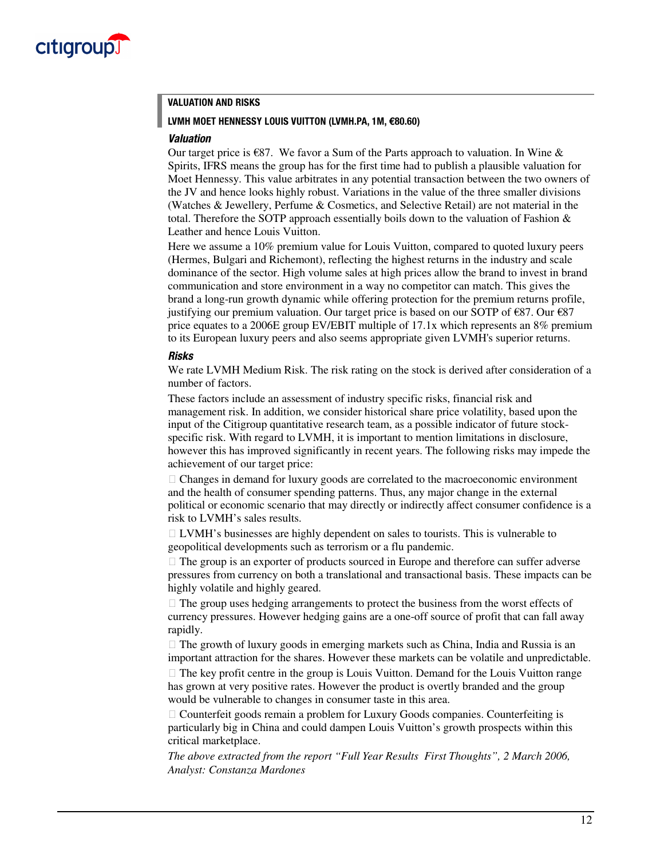

#### VALUATION AND RISKS

#### LVMH MOET HENNESSY LOUIS VUITTON (LVMH.PA, 1M,  $€80.60$ )

#### *Valuation*

Our target price is  $\epsilon$ 87. We favor a Sum of the Parts approach to valuation. In Wine & Spirits, IFRS means the group has for the first time had to publish a plausible valuation for Moet Hennessy. This value arbitrates in any potential transaction between the two owners of the JV and hence looks highly robust. Variations in the value of the three smaller divisions (Watches & Jewellery, Perfume & Cosmetics, and Selective Retail) are not material in the total. Therefore the SOTP approach essentially boils down to the valuation of Fashion  $\&$ Leather and hence Louis Vuitton.

Here we assume a 10% premium value for Louis Vuitton, compared to quoted luxury peers (Hermes, Bulgari and Richemont), reflecting the highest returns in the industry and scale dominance of the sector. High volume sales at high prices allow the brand to invest in brand communication and store environment in a way no competitor can match. This gives the brand a long-run growth dynamic while offering protection for the premium returns profile, justifying our premium valuation. Our target price is based on our SOTP of  $\epsilon$ 87. Our  $\epsilon$ 87 price equates to a 2006E group EV/EBIT multiple of 17.1x which represents an 8% premium to its European luxury peers and also seems appropriate given LVMH's superior returns.

#### *Risks*

We rate LVMH Medium Risk. The risk rating on the stock is derived after consideration of a number of factors.

These factors include an assessment of industry specific risks, financial risk and management risk. In addition, we consider historical share price volatility, based upon the input of the Citigroup quantitative research team, as a possible indicator of future stockspecific risk. With regard to LVMH, it is important to mention limitations in disclosure, however this has improved significantly in recent years. The following risks may impede the achievement of our target price:

Changes in demand for luxury goods are correlated to the macroeconomic environment and the health of consumer spending patterns. Thus, any major change in the external political or economic scenario that may directly or indirectly affect consumer confidence is a risk to LVMH's sales results.

LVMH's businesses are highly dependent on sales to tourists. This is vulnerable to geopolitical developments such as terrorism or a flu pandemic.

The group is an exporter of products sourced in Europe and therefore can suffer adverse pressures from currency on both a translational and transactional basis. These impacts can be highly volatile and highly geared.

The group uses hedging arrangements to protect the business from the worst effects of currency pressures. However hedging gains are a one-off source of profit that can fall away rapidly.

The growth of luxury goods in emerging markets such as China, India and Russia is an important attraction for the shares. However these markets can be volatile and unpredictable.

The key profit centre in the group is Louis Vuitton. Demand for the Louis Vuitton range has grown at very positive rates. However the product is overtly branded and the group would be vulnerable to changes in consumer taste in this area.

Counterfeit goods remain a problem for Luxury Goods companies. Counterfeiting is particularly big in China and could dampen Louis Vuitton's growth prospects within this critical marketplace.

*The above extracted from the report "Full Year Results First Thoughts", 2 March 2006, Analyst: Constanza Mardones*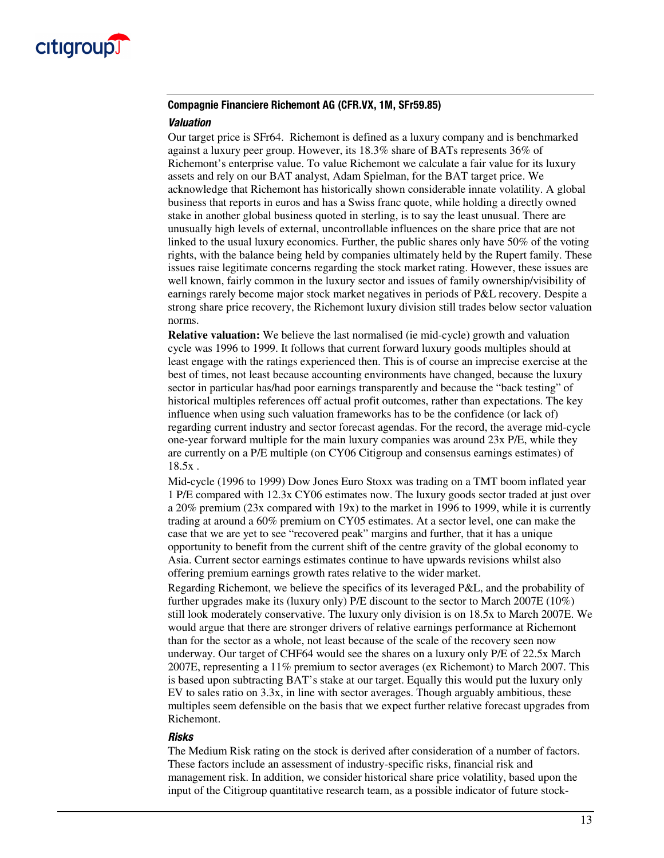

#### Compagnie Financiere Richemont AG (CFR.VX, 1M, SFr59.85)

#### *Valuation*

Our target price is SFr64. Richemont is defined as a luxury company and is benchmarked against a luxury peer group. However, its 18.3% share of BATs represents 36% of Richemont's enterprise value. To value Richemont we calculate a fair value for its luxury assets and rely on our BAT analyst, Adam Spielman, for the BAT target price. We acknowledge that Richemont has historically shown considerable innate volatility. A global business that reports in euros and has a Swiss franc quote, while holding a directly owned stake in another global business quoted in sterling, is to say the least unusual. There are unusually high levels of external, uncontrollable influences on the share price that are not linked to the usual luxury economics. Further, the public shares only have 50% of the voting rights, with the balance being held by companies ultimately held by the Rupert family. These issues raise legitimate concerns regarding the stock market rating. However, these issues are well known, fairly common in the luxury sector and issues of family ownership/visibility of earnings rarely become major stock market negatives in periods of P&L recovery. Despite a strong share price recovery, the Richemont luxury division still trades below sector valuation norms.

**Relative valuation:** We believe the last normalised (ie mid-cycle) growth and valuation cycle was 1996 to 1999. It follows that current forward luxury goods multiples should at least engage with the ratings experienced then. This is of course an imprecise exercise at the best of times, not least because accounting environments have changed, because the luxury sector in particular has/had poor earnings transparently and because the "back testing" of historical multiples references off actual profit outcomes, rather than expectations. The key influence when using such valuation frameworks has to be the confidence (or lack of) regarding current industry and sector forecast agendas. For the record, the average mid-cycle one-year forward multiple for the main luxury companies was around 23x P/E, while they are currently on a P/E multiple (on CY06 Citigroup and consensus earnings estimates) of 18.5x .

Mid-cycle (1996 to 1999) Dow Jones Euro Stoxx was trading on a TMT boom inflated year 1 P/E compared with 12.3x CY06 estimates now. The luxury goods sector traded at just over a 20% premium (23x compared with 19x) to the market in 1996 to 1999, while it is currently trading at around a 60% premium on CY05 estimates. At a sector level, one can make the case that we are yet to see "recovered peak" margins and further, that it has a unique opportunity to benefit from the current shift of the centre gravity of the global economy to Asia. Current sector earnings estimates continue to have upwards revisions whilst also offering premium earnings growth rates relative to the wider market.

Regarding Richemont, we believe the specifics of its leveraged P&L, and the probability of further upgrades make its (luxury only) P/E discount to the sector to March 2007E (10%) still look moderately conservative. The luxury only division is on 18.5x to March 2007E. We would argue that there are stronger drivers of relative earnings performance at Richemont than for the sector as a whole, not least because of the scale of the recovery seen now underway. Our target of CHF64 would see the shares on a luxury only P/E of 22.5x March 2007E, representing a 11% premium to sector averages (ex Richemont) to March 2007. This is based upon subtracting BAT's stake at our target. Equally this would put the luxury only EV to sales ratio on 3.3x, in line with sector averages. Though arguably ambitious, these multiples seem defensible on the basis that we expect further relative forecast upgrades from Richemont.

#### *Risks*

The Medium Risk rating on the stock is derived after consideration of a number of factors. These factors include an assessment of industry-specific risks, financial risk and management risk. In addition, we consider historical share price volatility, based upon the input of the Citigroup quantitative research team, as a possible indicator of future stock-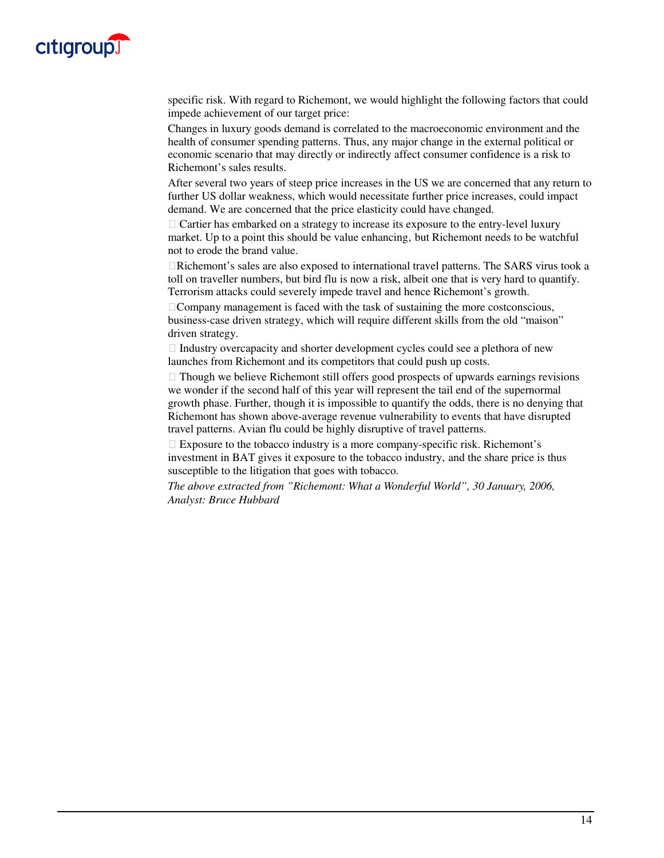

specific risk. With regard to Richemont, we would highlight the following factors that could impede achievement of our target price:

Changes in luxury goods demand is correlated to the macroeconomic environment and the health of consumer spending patterns. Thus, any major change in the external political or economic scenario that may directly or indirectly affect consumer confidence is a risk to Richemont's sales results.

After several two years of steep price increases in the US we are concerned that any return to further US dollar weakness, which would necessitate further price increases, could impact demand. We are concerned that the price elasticity could have changed.

Cartier has embarked on a strategy to increase its exposure to the entry-level luxury market. Up to a point this should be value enhancing, but Richemont needs to be watchful not to erode the brand value.

Richemont's sales are also exposed to international travel patterns. The SARS virus took a toll on traveller numbers, but bird flu is now a risk, albeit one that is very hard to quantify. Terrorism attacks could severely impede travel and hence Richemont's growth.

Company management is faced with the task of sustaining the more costconscious, business-case driven strategy, which will require different skills from the old "maison" driven strategy.

Industry overcapacity and shorter development cycles could see a plethora of new launches from Richemont and its competitors that could push up costs.

Though we believe Richemont still offers good prospects of upwards earnings revisions we wonder if the second half of this year will represent the tail end of the supernormal growth phase. Further, though it is impossible to quantify the odds, there is no denying that Richemont has shown above-average revenue vulnerability to events that have disrupted travel patterns. Avian flu could be highly disruptive of travel patterns.

Exposure to the tobacco industry is a more company-specific risk. Richemont's investment in BAT gives it exposure to the tobacco industry, and the share price is thus susceptible to the litigation that goes with tobacco.

*The above extracted from "Richemont: What a Wonderful World", 30 January, 2006, Analyst: Bruce Hubbard*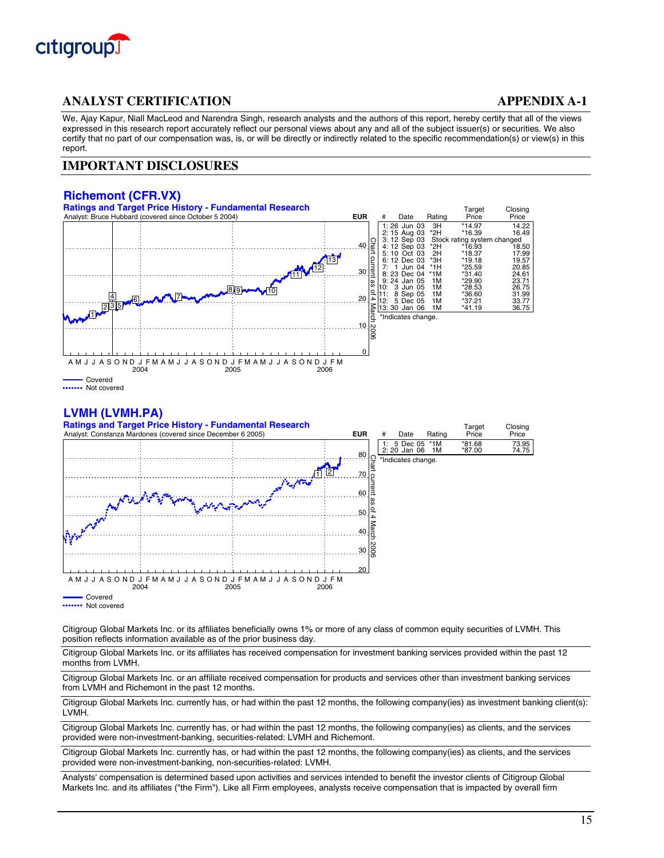

# **ANALYST CERTIFICATION APPENDIX A-1**

We, Ajay Kapur, Niall MacLeod and Narendra Singh, research analysts and the authors of this report, hereby certify that all of the views expressed in this research report accurately reflect our personal views about any and all of the subject issuer(s) or securities. We also certify that no part of our compensation was, is, or will be directly or indirectly related to the specific recommendation(s) or view(s) in this report.

#### **IMPORTANT DISCLOSURES**

#### **Richemont (CFR.VX)**



#### **LVMH (LVMH.PA)**



Citigroup Global Markets Inc. or its affiliates beneficially owns 1% or more of any class of common equity securities of LVMH. This position reflects information available as of the prior business day.

Citigroup Global Markets Inc. or its affiliates has received compensation for investment banking services provided within the past 12 months from LVMH.

Citigroup Global Markets Inc. or an affiliate received compensation for products and services other than investment banking services from LVMH and Richemont in the past 12 months.

Citigroup Global Markets Inc. currently has, or had within the past 12 months, the following company(ies) as investment banking client(s): LVMH.

Citigroup Global Markets Inc. currently has, or had within the past 12 months, the following company(ies) as clients, and the services provided were non-investment-banking, securities-related: LVMH and Richemont.

Citigroup Global Markets Inc. currently has, or had within the past 12 months, the following company(ies) as clients, and the services provided were non-investment-banking, non-securities-related: LVMH.

Analysts' compensation is determined based upon activities and services intended to benefit the investor clients of Citigroup Global Markets Inc. and its affiliates ("the Firm"). Like all Firm employees, analysts receive compensation that is impacted by overall firm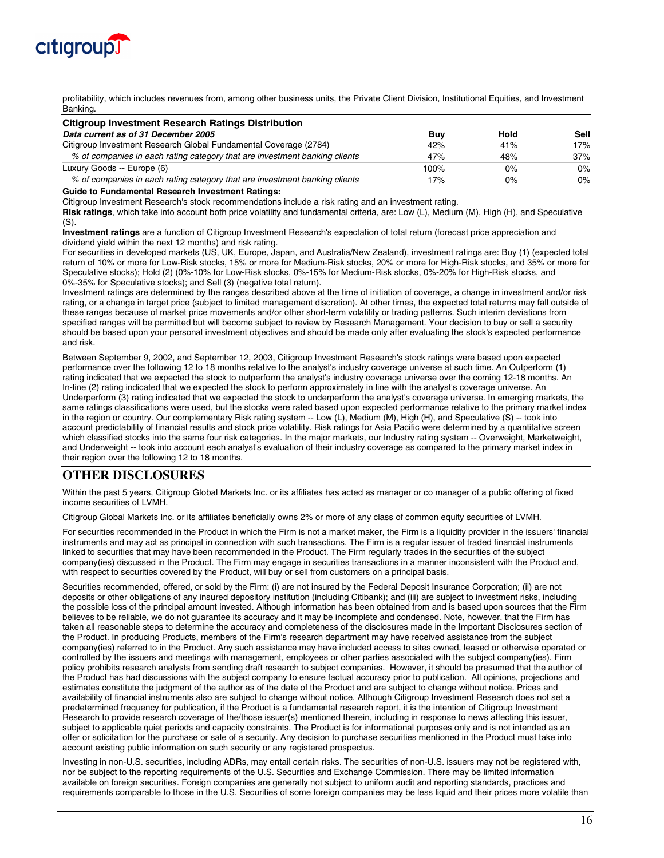

profitability, which includes revenues from, among other business units, the Private Client Division, Institutional Equities, and Investment Banking.

| <b>Citigroup Investment Research Ratings Distribution</b>                  |      |       |       |
|----------------------------------------------------------------------------|------|-------|-------|
| Data current as of 31 December 2005                                        | Buv  | Hold  | Sell  |
| Citigroup Investment Research Global Fundamental Coverage (2784)           | 42%  | 41%   | 17%   |
| % of companies in each rating category that are investment banking clients | 47%  | 48%   | 37%   |
| Luxury Goods -- Europe (6)                                                 | 100% | 0%    | $0\%$ |
| % of companies in each rating category that are investment banking clients | 17%  | $0\%$ | 0%    |

**Guide to Fundamental Research Investment Ratings:**

Citigroup Investment Research's stock recommendations include a risk rating and an investment rating.

**Risk ratings**, which take into account both price volatility and fundamental criteria, are: Low (L), Medium (M), High (H), and Speculative (S).

**Investment ratings** are a function of Citigroup Investment Research's expectation of total return (forecast price appreciation and dividend yield within the next 12 months) and risk rating.

For securities in developed markets (US, UK, Europe, Japan, and Australia/New Zealand), investment ratings are: Buy (1) (expected total return of 10% or more for Low-Risk stocks, 15% or more for Medium-Risk stocks, 20% or more for High-Risk stocks, and 35% or more for Speculative stocks); Hold (2) (0%-10% for Low-Risk stocks, 0%-15% for Medium-Risk stocks, 0%-20% for High-Risk stocks, and 0%-35% for Speculative stocks); and Sell (3) (negative total return).

Investment ratings are determined by the ranges described above at the time of initiation of coverage, a change in investment and/or risk rating, or a change in target price (subject to limited management discretion). At other times, the expected total returns may fall outside of these ranges because of market price movements and/or other short-term volatility or trading patterns. Such interim deviations from specified ranges will be permitted but will become subject to review by Research Management. Your decision to buy or sell a security should be based upon your personal investment objectives and should be made only after evaluating the stock's expected performance and risk.

Between September 9, 2002, and September 12, 2003, Citigroup Investment Research's stock ratings were based upon expected performance over the following 12 to 18 months relative to the analyst's industry coverage universe at such time. An Outperform (1) rating indicated that we expected the stock to outperform the analyst's industry coverage universe over the coming 12-18 months. An In-line (2) rating indicated that we expected the stock to perform approximately in line with the analyst's coverage universe. An Underperform (3) rating indicated that we expected the stock to underperform the analyst's coverage universe. In emerging markets, the same ratings classifications were used, but the stocks were rated based upon expected performance relative to the primary market index in the region or country. Our complementary Risk rating system -- Low (L), Medium (M), High (H), and Speculative (S) -- took into account predictability of financial results and stock price volatility. Risk ratings for Asia Pacific were determined by a quantitative screen which classified stocks into the same four risk categories. In the major markets, our Industry rating system -- Overweight, Marketweight, and Underweight -- took into account each analyst's evaluation of their industry coverage as compared to the primary market index in their region over the following 12 to 18 months.

#### **OTHER DISCLOSURES**

Within the past 5 years, Citigroup Global Markets Inc. or its affiliates has acted as manager or co manager of a public offering of fixed income securities of LVMH.

Citigroup Global Markets Inc. or its affiliates beneficially owns 2% or more of any class of common equity securities of LVMH.

For securities recommended in the Product in which the Firm is not a market maker, the Firm is a liquidity provider in the issuers' financial instruments and may act as principal in connection with such transactions. The Firm is a regular issuer of traded financial instruments linked to securities that may have been recommended in the Product. The Firm regularly trades in the securities of the subject company(ies) discussed in the Product. The Firm may engage in securities transactions in a manner inconsistent with the Product and, with respect to securities covered by the Product, will buy or sell from customers on a principal basis.

Securities recommended, offered, or sold by the Firm: (i) are not insured by the Federal Deposit Insurance Corporation: (ii) are not deposits or other obligations of any insured depository institution (including Citibank); and (iii) are subject to investment risks, including the possible loss of the principal amount invested. Although information has been obtained from and is based upon sources that the Firm believes to be reliable, we do not guarantee its accuracy and it may be incomplete and condensed. Note, however, that the Firm has taken all reasonable steps to determine the accuracy and completeness of the disclosures made in the Important Disclosures section of the Product. In producing Products, members of the Firm's research department may have received assistance from the subject company(ies) referred to in the Product. Any such assistance may have included access to sites owned, leased or otherwise operated or controlled by the issuers and meetings with management, employees or other parties associated with the subject company(ies). Firm policy prohibits research analysts from sending draft research to subject companies. However, it should be presumed that the author of the Product has had discussions with the subject company to ensure factual accuracy prior to publication. All opinions, projections and estimates constitute the judgment of the author as of the date of the Product and are subject to change without notice. Prices and availability of financial instruments also are subject to change without notice. Although Citigroup Investment Research does not set a predetermined frequency for publication, if the Product is a fundamental research report, it is the intention of Citigroup Investment Research to provide research coverage of the/those issuer(s) mentioned therein, including in response to news affecting this issuer, subject to applicable quiet periods and capacity constraints. The Product is for informational purposes only and is not intended as an offer or solicitation for the purchase or sale of a security. Any decision to purchase securities mentioned in the Product must take into account existing public information on such security or any registered prospectus.

Investing in non-U.S. securities, including ADRs, may entail certain risks. The securities of non-U.S. issuers may not be registered with, nor be subject to the reporting requirements of the U.S. Securities and Exchange Commission. There may be limited information available on foreign securities. Foreign companies are generally not subject to uniform audit and reporting standards, practices and requirements comparable to those in the U.S. Securities of some foreign companies may be less liquid and their prices more volatile than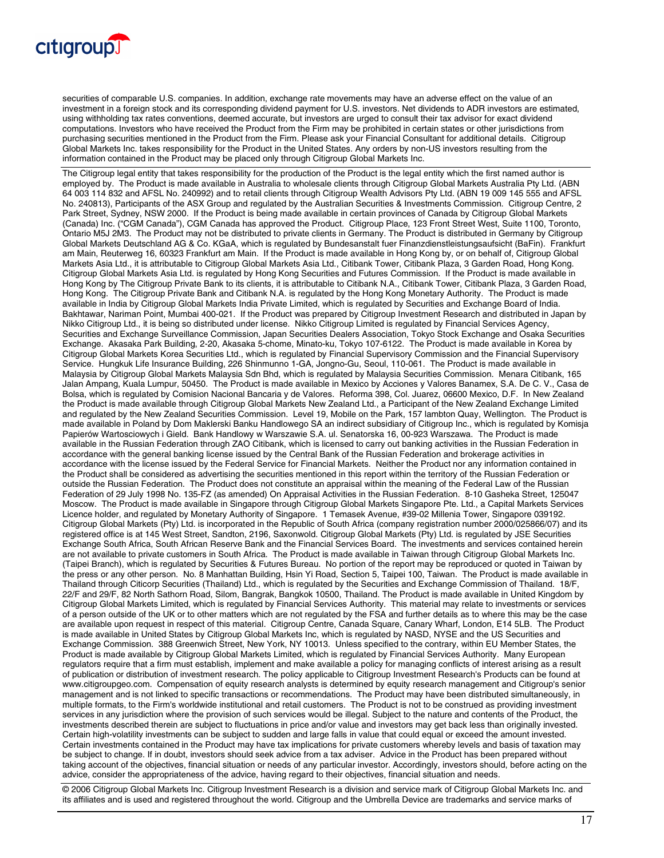

securities of comparable U.S. companies. In addition, exchange rate movements may have an adverse effect on the value of an investment in a foreign stock and its corresponding dividend payment for U.S. investors. Net dividends to ADR investors are estimated, using withholding tax rates conventions, deemed accurate, but investors are urged to consult their tax advisor for exact dividend computations. Investors who have received the Product from the Firm may be prohibited in certain states or other jurisdictions from purchasing securities mentioned in the Product from the Firm. Please ask your Financial Consultant for additional details. Citigroup Global Markets Inc. takes responsibility for the Product in the United States. Any orders by non-US investors resulting from the information contained in the Product may be placed only through Citigroup Global Markets Inc.

The Citigroup legal entity that takes responsibility for the production of the Product is the legal entity which the first named author is employed by. The Product is made available in Australia to wholesale clients through Citigroup Global Markets Australia Pty Ltd. (ABN 64 003 114 832 and AFSL No. 240992) and to retail clients through Citigroup Wealth Advisors Pty Ltd. (ABN 19 009 145 555 and AFSL No. 240813), Participants of the ASX Group and regulated by the Australian Securities & Investments Commission. Citigroup Centre, 2 Park Street, Sydney, NSW 2000. If the Product is being made available in certain provinces of Canada by Citigroup Global Markets (Canada) Inc. ("CGM Canada"), CGM Canada has approved the Product. Citigroup Place, 123 Front Street West, Suite 1100, Toronto, Ontario M5J 2M3. The Product may not be distributed to private clients in Germany. The Product is distributed in Germany by Citigroup Global Markets Deutschland AG & Co. KGaA, which is regulated by Bundesanstalt fuer Finanzdienstleistungsaufsicht (BaFin). Frankfurt am Main, Reuterweg 16, 60323 Frankfurt am Main. If the Product is made available in Hong Kong by, or on behalf of, Citigroup Global Markets Asia Ltd., it is attributable to Citigroup Global Markets Asia Ltd., Citibank Tower, Citibank Plaza, 3 Garden Road, Hong Kong. Citigroup Global Markets Asia Ltd. is regulated by Hong Kong Securities and Futures Commission. If the Product is made available in Hong Kong by The Citigroup Private Bank to its clients, it is attributable to Citibank N.A., Citibank Tower, Citibank Plaza, 3 Garden Road, Hong Kong. The Citigroup Private Bank and Citibank N.A. is regulated by the Hong Kong Monetary Authority. The Product is made available in India by Citigroup Global Markets India Private Limited, which is regulated by Securities and Exchange Board of India. Bakhtawar, Nariman Point, Mumbai 400-021. If the Product was prepared by Citigroup Investment Research and distributed in Japan by Nikko Citigroup Ltd., it is being so distributed under license. Nikko Citigroup Limited is regulated by Financial Services Agency, Securities and Exchange Surveillance Commission, Japan Securities Dealers Association, Tokyo Stock Exchange and Osaka Securities Exchange. Akasaka Park Building, 2-20, Akasaka 5-chome, Minato-ku, Tokyo 107-6122. The Product is made available in Korea by Citigroup Global Markets Korea Securities Ltd., which is regulated by Financial Supervisory Commission and the Financial Supervisory Service. Hungkuk Life Insurance Building, 226 Shinmunno 1-GA, Jongno-Gu, Seoul, 110-061. The Product is made available in Malaysia by Citigroup Global Markets Malaysia Sdn Bhd, which is regulated by Malaysia Securities Commission. Menara Citibank, 165 Jalan Ampang, Kuala Lumpur, 50450. The Product is made available in Mexico by Acciones y Valores Banamex, S.A. De C. V., Casa de Bolsa, which is regulated by Comision Nacional Bancaria y de Valores. Reforma 398, Col. Juarez, 06600 Mexico, D.F. In New Zealand the Product is made available through Citigroup Global Markets New Zealand Ltd., a Participant of the New Zealand Exchange Limited and regulated by the New Zealand Securities Commission. Level 19, Mobile on the Park, 157 lambton Quay, Wellington. The Product is made available in Poland by Dom Maklerski Banku Handlowego SA an indirect subsidiary of Citigroup Inc., which is regulated by Komisja Papierów Wartosciowych i Gield. Bank Handlowy w Warszawie S.A. ul. Senatorska 16, 00-923 Warszawa. The Product is made available in the Russian Federation through ZAO Citibank, which is licensed to carry out banking activities in the Russian Federation in accordance with the general banking license issued by the Central Bank of the Russian Federation and brokerage activities in accordance with the license issued by the Federal Service for Financial Markets. Neither the Product nor any information contained in the Product shall be considered as advertising the securities mentioned in this report within the territory of the Russian Federation or outside the Russian Federation. The Product does not constitute an appraisal within the meaning of the Federal Law of the Russian Federation of 29 July 1998 No. 135-FZ (as amended) On Appraisal Activities in the Russian Federation. 8-10 Gasheka Street, 125047 Moscow. The Product is made available in Singapore through Citigroup Global Markets Singapore Pte. Ltd., a Capital Markets Services Licence holder, and regulated by Monetary Authority of Singapore. 1 Temasek Avenue, #39-02 Millenia Tower, Singapore 039192. Citigroup Global Markets (Pty) Ltd. is incorporated in the Republic of South Africa (company registration number 2000/025866/07) and its registered office is at 145 West Street, Sandton, 2196, Saxonwold. Citigroup Global Markets (Pty) Ltd. is regulated by JSE Securities Exchange South Africa, South African Reserve Bank and the Financial Services Board. The investments and services contained herein are not available to private customers in South Africa. The Product is made available in Taiwan through Citigroup Global Markets Inc. (Taipei Branch), which is regulated by Securities & Futures Bureau. No portion of the report may be reproduced or quoted in Taiwan by the press or any other person. No. 8 Manhattan Building, Hsin Yi Road, Section 5, Taipei 100, Taiwan. The Product is made available in Thailand through Citicorp Securities (Thailand) Ltd., which is regulated by the Securities and Exchange Commission of Thailand. 18/F, 22/F and 29/F, 82 North Sathorn Road, Silom, Bangrak, Bangkok 10500, Thailand. The Product is made available in United Kingdom by Citigroup Global Markets Limited, which is regulated by Financial Services Authority. This material may relate to investments or services of a person outside of the UK or to other matters which are not regulated by the FSA and further details as to where this may be the case are available upon request in respect of this material. Citigroup Centre, Canada Square, Canary Wharf, London, E14 5LB. The Product is made available in United States by Citigroup Global Markets Inc, which is regulated by NASD, NYSE and the US Securities and Exchange Commission. 388 Greenwich Street, New York, NY 10013. Unless specified to the contrary, within EU Member States, the Product is made available by Citigroup Global Markets Limited, which is regulated by Financial Services Authority. Many European regulators require that a firm must establish, implement and make available a policy for managing conflicts of interest arising as a result of publication or distribution of investment research. The policy applicable to Citigroup Investment Research's Products can be found at www.citigroupgeo.com. Compensation of equity research analysts is determined by equity research management and Citigroup's senior management and is not linked to specific transactions or recommendations. The Product may have been distributed simultaneously, in multiple formats, to the Firm's worldwide institutional and retail customers. The Product is not to be construed as providing investment services in any jurisdiction where the provision of such services would be illegal. Subject to the nature and contents of the Product, the investments described therein are subject to fluctuations in price and/or value and investors may get back less than originally invested. Certain high-volatility investments can be subject to sudden and large falls in value that could equal or exceed the amount invested. Certain investments contained in the Product may have tax implications for private customers whereby levels and basis of taxation may be subject to change. If in doubt, investors should seek advice from a tax adviser. Advice in the Product has been prepared without taking account of the objectives, financial situation or needs of any particular investor. Accordingly, investors should, before acting on the advice, consider the appropriateness of the advice, having regard to their objectives, financial situation and needs.

© 2006 Citigroup Global Markets Inc. Citigroup Investment Research is a division and service mark of Citigroup Global Markets Inc. and its affiliates and is used and registered throughout the world. Citigroup and the Umbrella Device are trademarks and service marks of